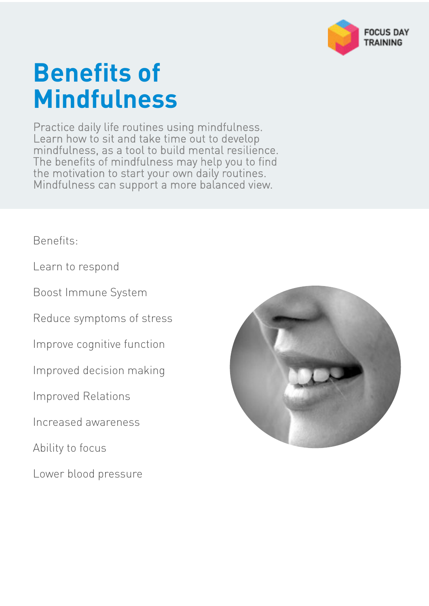

# **Benefits of Mindfulness**

Practice daily life routines using mindfulness. Learn how to sit and take time out to develop mindfulness, as a tool to build mental resilience. The benefits of mindfulness may help you to find the motivation to start your own daily routines. Mindfulness can support a more balanced view.

Benefits:

Learn to respond

Boost Immune System

Reduce symptoms of stress

Improve cognitive function

Improved decision making

Improved Relations

Increased awareness

Ability to focus

Lower blood pressure

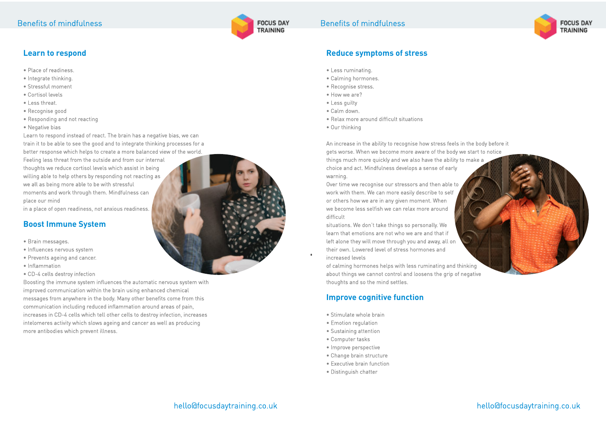hello@focusdaytraining.co.uk

#### **Reduce symptoms of stress**

- Less ruminating.
- Calming hormones.
- Recognise stress.
- How we are?
- Less guilty
- Calm down.
- Relax more around difficult situations
- Our thinking

An increase in the ability to recognise how stress feels in the body before it gets worse. When we become more aware of the body we start to notice things much more quickly and we also have the ability to make a choice and act. Mindfulness develops a sense of early warning.

Over time we recognise our stressors and then able to work with them. We can more easily describe to self or others how we are in any given moment. When we become less selfish we can relax more around difficult

situations. We don't take things so personally. We learn that emotions are not who we are and that if left alone they will move through you and away, all on their own. Lowered level of stress hormones and increased levels

of calming hormones helps with less ruminating and thinking about things we cannot control and loosens the grip of negative thoughts and so the mind settles.

### **Improve cognitive function**

- Stimulate whole brain
- Emotion regulation
- Sustaining attention
- Computer tasks
- Improve perspective
- Change brain structure
- Executive brain function
- Distinguish chatter







# **Learn to respond**

- Place of readiness.
- Integrate thinking.
- Stressful moment
- Cortisol levels
- Less threat.
- Recognise good
- Responding and not reacting
- Negative bias

Learn to respond instead of react. The brain has a negative bias, we can train it to be able to see the good and to integrate thinking processes for a better response which helps to create a more balanced view of the world. Feeling less threat from the outside and from our internal thoughts we reduce cortisol levels which assist in being willing able to help others by responding not reacting as we all as being more able to be with stressful moments and work through them. Mindfulness can place our mind

in a place of open readiness, not anxious readiness.

### **Boost Immune System**

- Brain messages.
- Influences nervous system
- Prevents ageing and cancer.
- Inflammation
- CD-4 cells destroy infection

Boosting the immune system influences the automatic nervous system with improved communication within the brain using enhanced chemical messages from anywhere in the body. Many other benefits come from this communication including reduced inflammation around areas of pain, increases in CD-4 cells which tell other cells to destroy infection, increases intelomeres activity which slows ageing and cancer as well as producing more antibodies which prevent illness.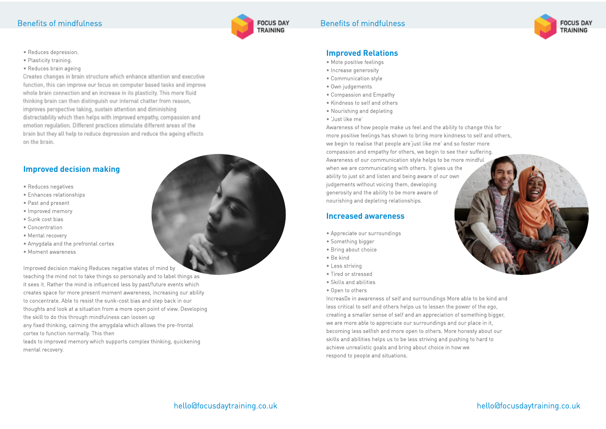#### Benefits of mindfulness

#### hello@focusdaytraining.co.uk

#### **Improved Relations**

- Mote positive feelings
- Increase generosity
- Communication style
- Own judgements
- Compassion and Empathy
- Kindness to self and others
- Nourishing and depleting
- 'Just like me'

Awareness of how people make us feel and the ability to change this for more positive feelings has shown to bring more kindness to self and others, we begin to realise that people are'just like me' and so foster more compassion and empathy for others, we begin to see their suffering. Awareness of our communication style helps to be more mindful when we are communicating with others. It gives us the ability to just sit and listen and being aware of our own judgements without voicing them, developing generosity and the ability to be more aware of nourishing and depleting relationships. **Increased awareness** • Appreciate our surroundings • Something bigger • Bring about choice • Be kind • Less striving



Increas e in awareness of self and surroundings More able to be kind and less critical to self and others helps us to lessen the power of the ego, creating a smaller sense of self and an appreciation of something bigger, we are more able to appreciate our surroundings and our place in it, becoming less selfish and more open to others. More honesty about our skills and abilities helps us to be less striving and pushing to hard to achieve unrealistic goals and bring about choice in how we respond to people and situations.

- 
- 
- 
- 
- 
- Tired or stressed
- Skills and abilities
- Open to others

### Benefits of mindfulness





- Reduces depression.
- Plasticity training.
- Reduces brain ageing

Creates changes in brain structure which enhance attention and executive function, this can improve our focus on computer based tasks and improve whole brain connection and an increase in its plasticity. This more fluid thinking brain can then distinguish our internal chatter from reason, improves perspective taking, sustain attention and diminishing distractability which then helps with improved empathy, compassion and emotion regulation. Different practices stimulate different areas of the brain but they all help to reduce depression and reduce the ageing effects on the brain.

#### **Improved decision making**

- Reduces negatives
- Enhances relationships
- Past and present
- Improved memory
- Sunk cost bias
- Concentration
- Mental recovery
- Amygdala and the prefrontal cortex
- Moment awareness

Improved decision making Reduces negative states of mind by teaching the mind not to take things so personally and to label things as it sees it. Rather the mind is influenced less by past/future events which creates space for more present moment awareness, increasing our ability to concentrate. Able to resist the sunk-cost bias and step back in our thoughts and look at a situation from a more open point of view. Developing the skill to do this through mindfulness can loosen up any fixed thinking, calming the amygdala which allows the pre-frontal cortex to function normally. This then leads to improved memory which supports complex thinking, quickening mental recovery.